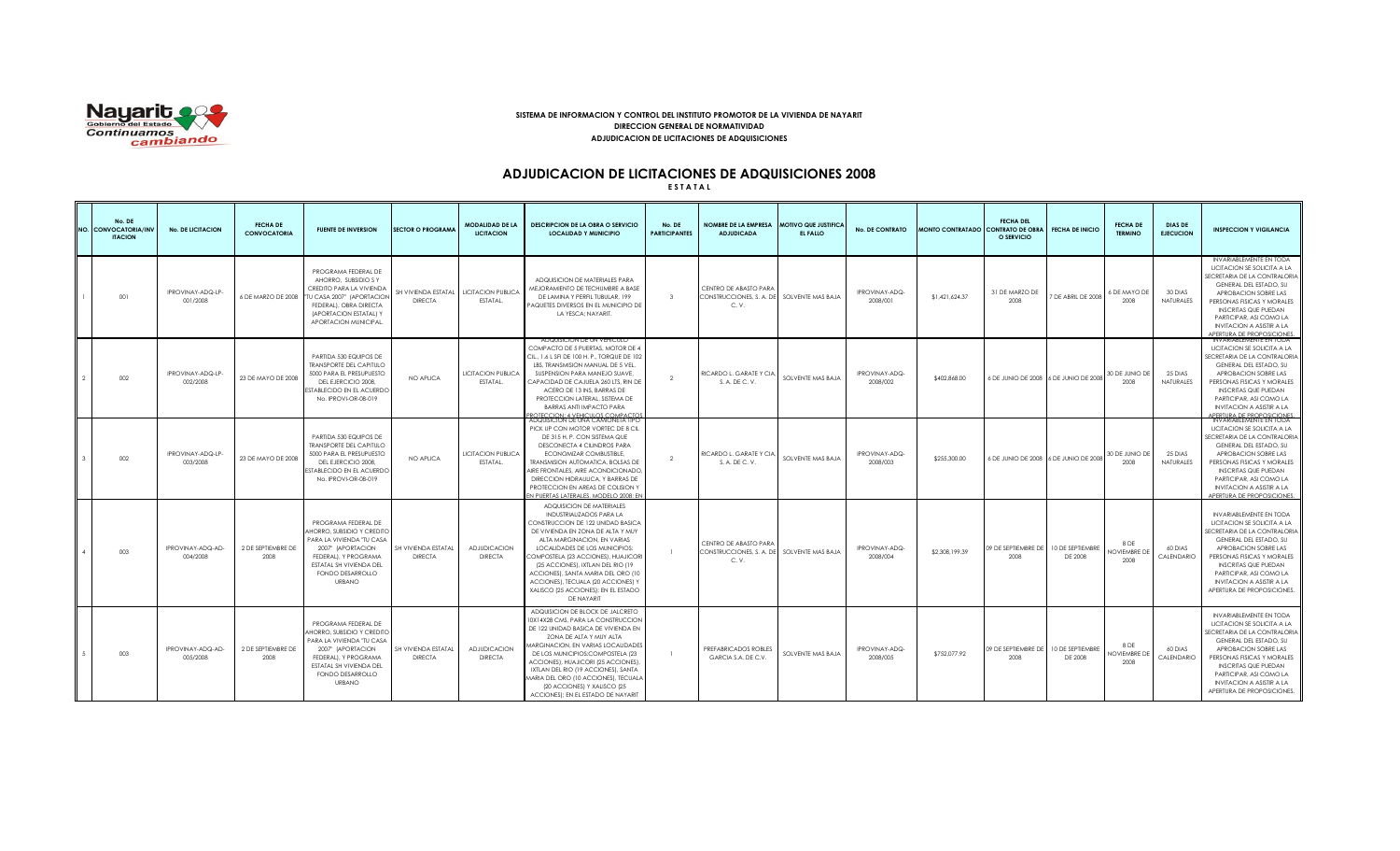

## **SISTEMA DE INFORMACION Y CONTROL DEL INSTITUTO PROMOTOR DE LA VIVIENDA DE NAYARIT DIRECCION GENERAL DE NORMATIVIDAD ADJUDICACION DE LICITACIONES DE ADQUISICIONES**

# **ADJUDICACION DE LICITACIONES DE ADQUISICIONES 2008**

**E S T A T A L**

| No. DE<br>NO. CONVOCATORIA/INV<br><b>ITACION</b> | <b>No. DE LICITACION</b>      | <b>FECHA DE</b><br><b>CONVOCATORIA</b> | <b>FUENTE DE INVERSION</b>                                                                                                                                                                  | <b>SECTOR O PROGRAMA</b>                                   | <b>MODALIDAD DE LA</b><br><b>LICITACION</b> | <b>DESCRIPCION DE LA OBRA O SERVICIO</b><br><b>LOCALIDAD Y MUNICIPIO</b>                                                                                                                                                                                                                                                                                                                                      | No. DE<br><b>PARTICIPANTES</b> | NOMBRE DE LA EMPRESA MOTIVO QUE JUSTIFICA<br><b>ADJUDICADA</b>               | EL FALLO          | <b>No. DE CONTRATO</b>     | MONTO CONTRATADO CONTRATO DE OBRA | <b>FECHA DEL</b><br>O SERVICIO | <b>FECHA DE INICIO</b>                | <b>FECHA DE</b><br><b>TERMINO</b>   | <b>DIAS DE</b><br><b>EJECUCION</b> | <b>INSPECCION Y VIGILANCIA</b>                                                                                                                                                                                                                                                                            |
|--------------------------------------------------|-------------------------------|----------------------------------------|---------------------------------------------------------------------------------------------------------------------------------------------------------------------------------------------|------------------------------------------------------------|---------------------------------------------|---------------------------------------------------------------------------------------------------------------------------------------------------------------------------------------------------------------------------------------------------------------------------------------------------------------------------------------------------------------------------------------------------------------|--------------------------------|------------------------------------------------------------------------------|-------------------|----------------------------|-----------------------------------|--------------------------------|---------------------------------------|-------------------------------------|------------------------------------|-----------------------------------------------------------------------------------------------------------------------------------------------------------------------------------------------------------------------------------------------------------------------------------------------------------|
| 001                                              | IPROVINAY-ADQ-LP<br>001/2008  | 6 DE MARZO DE 2008                     | PROGRAMA FEDERAL DE<br>AHORRO. SUBSIDIO S Y<br>CREDITO PARA LA VIVIENDA<br>TU CASA 2007" (APORTACION<br>FEDERAL), OBRA DIRECTA<br>(APORTACION ESTATAL) Y<br>APORTACION MUNICIPAL.           | SH VIVIENDA ESTATAL   LICITACION PUBLICA<br><b>DIRECTA</b> | ESTATAL.                                    | ADQUISICION DE MATERIALES PARA<br>MEJORAMIENTO DE TECHUMBRE A BASE<br>DE LAMINA Y PERFIL TUBULAR, 199<br>PAQUETES DIVERSOS EN EL MUNICIPIO DE<br>LA YESCA; NAYARIT.                                                                                                                                                                                                                                           | $\mathbf{3}$                   | CENTRO DE ABASTO PARA<br>CONSTRUCCIONES, S. A. DE<br>C.V.                    | SOLVENTE MAS BAJA | IPROVINAY-ADQ-<br>2008/001 | \$1,421,624.37                    | 31 DE MARZO DE<br>2008         | TDE ABRIL DE 2008                     | 6 DE MAYO DE<br>2008                | 30 DIAS<br>NATURALES               | INVARIABLEMENTE EN TODA<br>LICITACION SE SOLICITA A LA<br>SECRETARIA DE LA CONTRALORIA<br>GENERAL DEL ESTADO, SU<br>APROBACION SOBRE LAS<br>PERSONAS FISICAS Y MORALES<br><b>INSCRITAS QUE PUEDAN</b><br>PARTICIPAR, ASI COMO LA<br><b>INVITACION A ASISTIR A LA</b><br>APERTURA DE PROPOSICIONES.        |
| 002                                              | IPROVINAY-ADQ-LP-<br>002/2008 | 23 DE MAYO DE 2008                     | PARTIDA 530 EQUIPOS DE<br><b>TRANSPORTE DEL CAPITULO</b><br>5000 PARA EL PRESUPUESTO<br>DEL EJERCICIO 2008.<br><b>ESTABLECIDO EN EL ACUERDO</b><br>No. IPROVI-OR-08-019                     | NO APLICA                                                  | <b>LICITACION PUBLICA</b><br>ESTATAL.       | ADQUISICION DE UN VEHICULO<br>COMPACTO DE 5 PUERTAS, MOTOR DE 4<br>CIL., 1.6 L SFI DE 100 H, P., TORQUE DE 102<br>LBS, TRANSMISION MANUAL DE 5 VEL.<br>SUSPENSION PARA MANEJO SUAVE,<br>CAPACIDAD DE CAJUELA 260 LTS, RIN DE<br>ACERO DE 13 INS, BARRAS DE<br>PROTECCION LATERAL, SISTEMA DE<br><b>BARRAS ANTI IMPACTO PARA</b><br>ROTECCION: 4 VEHICULOS COMPACTOS                                           | $\mathcal{P}$                  | RICARDO L. GARATE Y CIA,<br>S. A. DE C. V.                                   | SOLVENTE MAS BAJA | IPROVINAY-ADQ-<br>2008/002 | \$402.868.00                      |                                | 6 DE JUNIO DE 2008 6 DE JUNIO DE 2008 | 30 DE JUNIO DE<br>2008              | 25 DIAS<br><b>NATURALES</b>        | <b>INVARIABLEMENTE EN TODA</b><br>LICITACION SE SOLICITA A LA<br>SECRETARIA DE LA CONTRALORIA<br>GENERAL DEL ESTADO, SU<br>APROBACION SOBRE LAS<br>PERSONAS FISICAS Y MORALES<br><b>INSCRITAS QUE PUEDAN</b><br>PARTICIPAR, ASI COMO LA<br><b>INVITACION A ASISTIR A LA</b><br>APERTURA DE PROPOSICIONES. |
| 002                                              | IPROVINAY-ADQ-LP<br>003/2008  | 23 DE MAYO DE 2008                     | PARTIDA 530 EQUIPOS DE<br><b>TRANSPORTE DEL CAPITULO</b><br>5000 PARA EL PRESUPUESTO<br>DEL EJERCICIO 2008.<br>ESTABLECIDO EN EL ACUERDC<br>No. IPROVI-OR-08-019                            | NO APLICA                                                  | <b>LICITACION PUBLICA</b><br>ESTATAL.       | ADQUISICION DE UNA CAMIONETA TIPO<br>PICK UP CON MOTOR VORTEC DE 8 CIL<br>DE 315 H. P. CON SISTEMA QUE<br>DESCONECTA 4 CILINDROS PARA<br>ECONOMIZAR COMBUSTIBLE.<br>TRANSMISION AUTOMATICA, BOLSAS DE<br>AIRE FRONTALES. AIRE ACONDICIONADO.<br>DIRECCION HIDRAULICA, Y BARRAS DE<br>PROTECCION EN AREAS DE COLISION Y<br>EN PUERTAS LATERALES, MODELO 2008: EN                                               | $\overline{2}$                 | RICARDO L. GARATE Y CIA.<br>S. A. DE C. V.                                   | SOLVENTE MAS BAJA | IPROVINAY-ADQ-<br>2008/003 | \$255,300.00                      |                                | 6 DE JUNIO DE 2008 6 DE JUNIO DE 2008 | 30 DE JUNIO DE<br>2008              | 25 DIAS<br><b>NATURALES</b>        | INVARIABLEMENTE EN TODA<br>LICITACION SE SOLICITA A LA<br>SECRETARIA DE LA CONTRALORIA<br>GENERAL DEL ESTADO, SU<br>APROBACION SOBRE LAS<br>PERSONAS FISICAS Y MORALES<br><b>INSCRITAS QUE PUEDAN</b><br>PARTICIPAR, ASI COMO LA<br><b>INVITACION A ASISTIR A LA</b><br>APERTURA DE PROPOSICIONES.        |
| 003                                              | IPROVINAY-ADQ-AD-<br>004/2008 | 2 DE SEPTIEMBRE DE<br>2008             | PROGRAMA FEDERAL DE<br>AHORRO, SUBSIDIO Y CREDITO<br>PARA LA VIVIENDA "TU CASA<br>2007" (APORTACION<br>FEDERAL), Y PROGRAMA<br>ESTATAL SH VIVIENDA DEL<br>FONDO DESARROLLO<br><b>URBANO</b> | SH VIVIENDA ESTATAL<br><b>DIRECTA</b>                      | <b>ADJUDICACION</b><br><b>DIRECTA</b>       | ADQUISICION DE MATERIALES<br>INDUSTRIALIZADOS PARA LA<br>CONSTRUCCION DE 122 UNIDAD BASICA<br>DE VIVIENDA EN ZONA DE ALTA Y MUY<br>ALTA MARGINACION, EN VARIAS<br>LOCALIDADES DE LOS MUNICIPIOS:<br>COMPOSTELA (23 ACCIONES), HUAJICORI<br>(25 ACCIONES), IXTLAN DEL RIO (19<br>ACCIONES), SANTA MARIA DEL ORO (10<br>ACCIONES), TECUALA (20 ACCIONES) Y<br>XALISCO (25 ACCIONES); EN EL ESTADO<br>DE NAYARIT |                                | CENTRO DE ABASTO PARA<br>CONSTRUCCIONES, S. A. DE SOLVENTE MAS BAJA<br>C. V. |                   | IPROVINAY-ADQ-<br>2008/004 | \$2,308,199,39                    | 09 DE SEPTIEMBRE DE<br>2008    | 10 DE SEPTIEMBRE<br>DE 2008           | 8 DE<br><b>JOVIEMBRE DE</b><br>2008 | 60 DIAS<br>CALENDARIO              | INVARIABLEMENTE EN TODA<br>LICITACION SE SOLICITA A LA<br>SECRETARIA DE LA CONTRALORIA<br>GENERAL DEL ESTADO, SU<br>APROBACION SOBRE LAS<br>PERSONAS FISICAS Y MORALES<br><b>INSCRITAS QUE PUEDAN</b><br>PARTICIPAR, ASI COMO LA<br><b>INVITACION A ASISTIR A LA</b><br>APERTURA DE PROPOSICIONES.        |
| 003                                              | IPROVINAY-ADQ-AD-<br>005/2008 | 2 DE SEPTIEMBRE DE<br>2008             | PROGRAMA FEDERAL DE<br>AHORRO, SUBSIDIO Y CREDITC<br>PARA LA VIVIENDA "TU CASA<br>2007" (APORTACION<br>FEDERAL), Y PROGRAMA<br>ESTATAL SH VIVIENDA DEL<br>FONDO DESARROLLO<br><b>URBANO</b> | SH VIVIENDA ESTATAL<br><b>DIRECTA</b>                      | <b>ADJUDICACION</b><br><b>DIRECTA</b>       | ADQUISICION DE BLOCK DE JALCRETO<br>10X14X28 CMS, PARA LA CONSTRUCCION<br>DE 122 UNIDAD BASICA DE VIVIENDA EN<br>ZONA DE ALTA Y MUY ALTA<br>MARGINACION, EN VARIAS LOCALIDADES<br>DE LOS MUNICIPIOS:COMPOSTELA (23<br>ACCIONES), HUAJICORI (25 ACCIONES),<br>IXTLAN DEL RIO (19 ACCIONES), SANTA<br>MARIA DEL ORO (10 ACCIONES), TECUALA<br>(20 ACCIONES) Y XALISCO (25<br>ACCIONES); EN EL ESTADO DE NAYARIT |                                | PREFABRICADOS ROBLES<br>GARCIA S.A. DE C.V.                                  | SOLVENTE MAS BAJA | IPROVINAY-ADQ-<br>2008/005 | \$752,077.92                      | 09 DE SEPTIEMBRE DE<br>2008    | 10 DE SEPTIEMBRE<br>DE 2008           | 8 DE<br><b>NOVIEMBRE DE</b><br>2008 | 60 DIAS<br>CALENDARIO              | INVARIABLEMENTE EN TODA<br>LICITACION SE SOLICITA A LA<br>SECRETARIA DE LA CONTRALORIA<br>GENERAL DEL ESTADO, SU<br>APROBACION SOBRE LAS<br>PERSONAS FISICAS Y MORALES<br><b>INSCRITAS QUE PUEDAN</b><br>PARTICIPAR, ASI COMO LA<br><b>INVITACION A ASISTIR A LA</b><br>APERTURA DE PROPOSICIONES.        |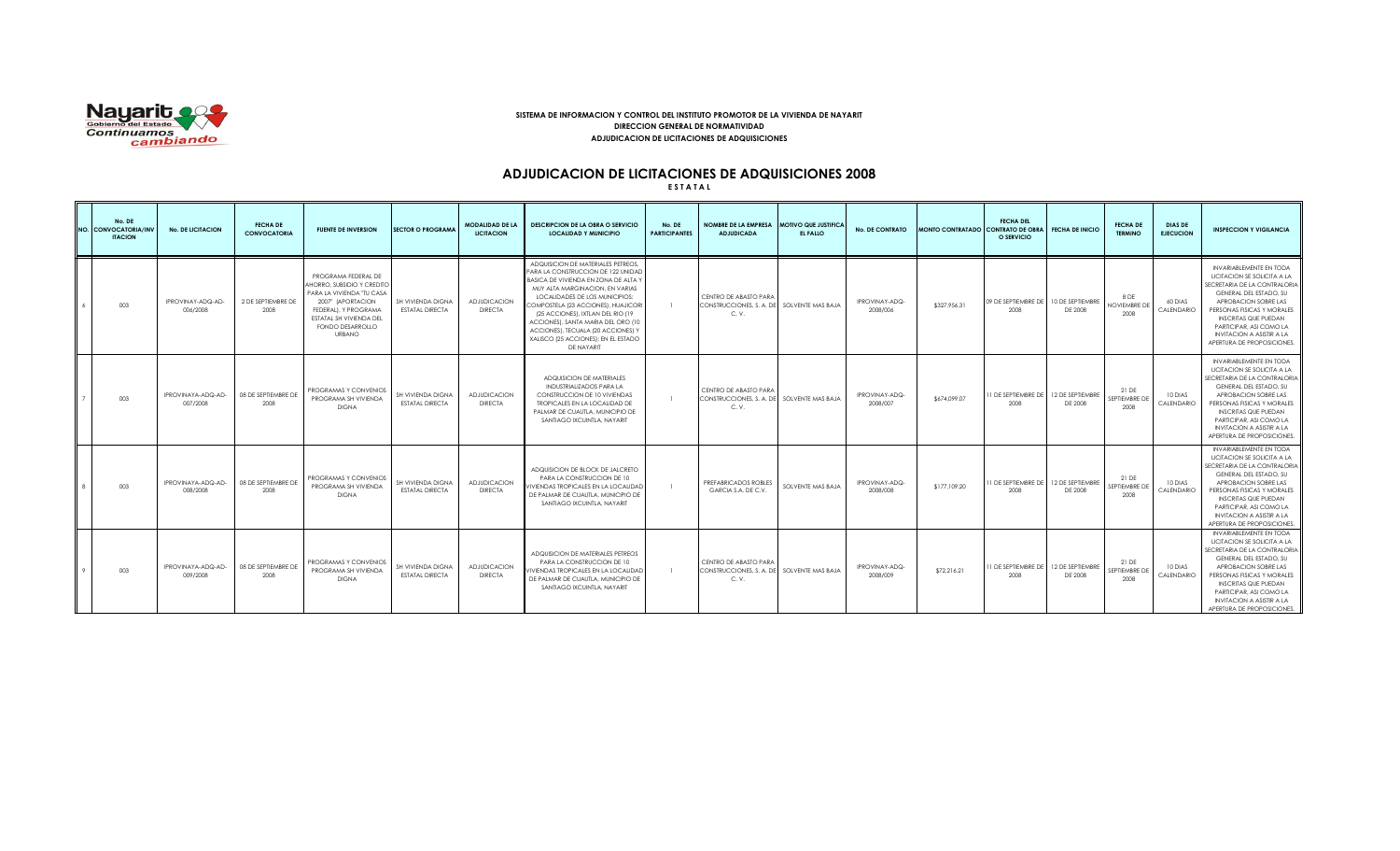

## **SISTEMA DE INFORMACION Y CONTROL DEL INSTITUTO PROMOTOR DE LA VIVIENDA DE NAYARIT DIRECCION GENERAL DE NORMATIVIDAD ADJUDICACION DE LICITACIONES DE ADQUISICIONES**

# **ADJUDICACION DE LICITACIONES DE ADQUISICIONES 2008**

**E S T A T A L**

| No. DE<br>NO. CONVOCATORIA/INV<br><b>ITACION</b> | <b>No. DE LICITACION</b>       | <b>FECHA DE</b><br><b>CONVOCATORIA</b> | <b>FUENTE DE INVERSION</b>                                                                                                                                                                  | <b>SECTOR O PROGRAMA</b>                    | <b>MODALIDAD DE LA</b><br><b>LICITACION</b> | <b>DESCRIPCION DE LA OBRA O SERVICIO</b><br><b>LOCALIDAD Y MUNICIPIO</b>                                                                                                                                                                                                                                                                                                                           | No. DE<br><b>PARTICIPANTES</b> | NOMBRE DE LA EMPRESA MOTIVO QUE JUSTIFICA<br><b>ADJUDICADA</b>               | EL FALLO          | <b>No. DE CONTRATO</b>     | MONTO CONTRATADO CONTRATO DE OBRA | <b>FECHA DEL</b><br>O SERVICIO | <b>FECHA DE INICIO</b>      | <b>FECHA DE</b><br><b>TERMINO</b>    | <b>DIAS DE</b><br><b>EJECUCION</b> | <b>INSPECCION Y VIGILANCIA</b>                                                                                                                                                                                                                                                                           |
|--------------------------------------------------|--------------------------------|----------------------------------------|---------------------------------------------------------------------------------------------------------------------------------------------------------------------------------------------|---------------------------------------------|---------------------------------------------|----------------------------------------------------------------------------------------------------------------------------------------------------------------------------------------------------------------------------------------------------------------------------------------------------------------------------------------------------------------------------------------------------|--------------------------------|------------------------------------------------------------------------------|-------------------|----------------------------|-----------------------------------|--------------------------------|-----------------------------|--------------------------------------|------------------------------------|----------------------------------------------------------------------------------------------------------------------------------------------------------------------------------------------------------------------------------------------------------------------------------------------------------|
| 003                                              | IPROVINAY-ADQ-AD-<br>006/2008  | 2 DE SEPTIEMBRE DE<br>2008             | PROGRAMA FEDERAL DE<br>AHORRO, SUBSIDIO Y CREDITC<br>PARA LA VIVIENDA "TU CASA<br>2007" (APORTACION<br>FEDERALI, Y PROGRAMA<br>ESTATAL SH VIVIENDA DEL<br>FONDO DESARROLLO<br><b>URBANO</b> | SH VIVIENDA DIGNA<br><b>ESTATAL DIRECTA</b> | <b>ADJUDICACION</b><br><b>DIRECTA</b>       | ADQUISICION DE MATERIALES PETREOS.<br>PARA LA CONSTRUCCION DE 122 UNIDAD<br>BASICA DE VIVIENDA EN ZONA DE ALTA Y<br>MUY ALTA MARGINACION, EN VARIAS<br>LOCALIDADES DE LOS MUNICIPIOS:<br>COMPOSTELA (23 ACCIONES), HUAJICORI<br>(25 ACCIONES), IXTLAN DEL RIO (19<br>ACCIONES), SANTA MARIA DEL ORO (10<br>ACCIONES), TECUALA (20 ACCIONES) Y<br>XALISCO (25 ACCIONES): EN EL ESTADO<br>DE NAYARIT |                                | CENTRO DE ABASTO PARA<br>CONSTRUCCIONES, S. A. DE SOLVENTE MAS BAJA<br>C. V. |                   | IPROVINAY-ADQ-<br>2008/006 | \$327.956.31                      | 09 DE SEPTIEMBRE DE<br>2008    | 10 DE SEPTIEMBRE<br>DE 2008 | 8 DE<br><b>VOVIEMBRE DE</b><br>2008  | 60 DIAS<br>CALENDARIO              | <b>INVARIABLEMENTE EN TODA</b><br>LICITACION SE SOLICITA A LA<br>SECRETARIA DE LA CONTRALORIA<br>GENERAL DEL ESTADO, SU<br>APROBACION SOBRE LAS<br>PERSONAS FISICAS Y MORALES<br><b>INSCRITAS QUE PUEDAN</b><br>PARTICIPAR, ASI COMO LA<br><b>INVITACION A ASISTIR A LA</b><br>APERTURA DE PROPOSICIONES |
| 003                                              | IPROVINAYA-ADQ-AD-<br>007/2008 | 08 DE SEPTIEMBRE DE<br>2008            | PROGRAMAS Y CONVENIOS<br>PROGRAMA SH VIVIENDA<br><b>DIGNA</b>                                                                                                                               | SH VIVIENDA DIGNA<br><b>ESTATAL DIRECTA</b> | <b>ADJUDICACION</b><br><b>DIRECTA</b>       | ADQUISICION DE MATERIALES<br>INDUSTRIALIZADOS PARA LA<br>CONSTRUCCION DE 10 VIVIENDAS<br>TROPICALES EN LA LOCALIDAD DE<br>PALMAR DE CUAUTLA, MUNICIPIO DE<br>SANTIAGO IXCUINTLA, NAYARIT                                                                                                                                                                                                           |                                | CENTRO DE ABASTO PARA<br>CONSTRUCCIONES, S. A. DE SOLVENTE MAS BAJA<br>C. V. |                   | IPROVINAY-ADQ-<br>2008/007 | \$674.099.07                      | 1 DE SEPTIEMBRE DE<br>2008     | 12 DE SEPTIEMBRE<br>DE 2008 | 21 DE<br><b>EPTIEMBRE DE</b><br>2008 | 10 DIAS<br>CALENDARIO              | <b>INVARIABLEMENTE EN TODA</b><br>LICITACION SE SOLICITA A LA<br>SECRETARIA DE LA CONTRALORIA<br>GENERAL DEL ESTADO, SU<br>APROBACION SOBRE LAS<br>PERSONAS FISICAS Y MORALES<br><b>INSCRITAS QUE PUEDAN</b><br>PARTICIPAR, ASI COMO LA<br><b>INVITACION A ASISTIR A LA</b><br>APERTURA DE PROPOSICIONES |
| 003                                              | IPROVINAYA-ADQ-AD-<br>008/2008 | 08 DE SEPTIEMBRE DE<br>2008            | PROGRAMAS Y CONVENIOS<br>PROGRAMA SH VIVIENDA<br><b>DIGNA</b>                                                                                                                               | SH VIVIENDA DIGNA<br><b>ESTATAL DIRECTA</b> | <b>ADJUDICACION</b><br><b>DIRECTA</b>       | ADQUISICION DE BLOCK DE JALCRETO<br>PARA LA CONSTRUCCION DE 10<br><b>VIVIENDAS TROPICALES EN LA LOCALIDAD</b><br>DE PALMAR DE CUAUTLA, MUNICIPIO DE<br>SANTIAGO IXCUINTLA, NAYARIT                                                                                                                                                                                                                 |                                | PREFABRICADOS ROBLES<br>GARCIA S.A. DE C.V.                                  | SOLVENTE MAS BAJA | IPROVINAY-ADQ-<br>2008/008 | \$177,109.20                      | 1 DE SEPTIEMBRE DE<br>2008     | 12 DE SEPTIEMBRE<br>DE 2008 | 21 DE<br><b>EPTIEMBRE DE</b><br>2008 | 10 DIAS<br>CALENDARIO              | INVARIABLEMENTE EN TODA<br>LICITACION SE SOLICITA A LA<br>SECRETARIA DE LA CONTRALORIA<br>GENERAL DEL ESTADO, SU<br>APROBACION SOBRE LAS<br>PERSONAS FISICAS Y MORALES<br><b>INSCRITAS QUE PUEDAN</b><br>PARTICIPAR, ASI COMO LA<br><b>INVITACION A ASISTIR A LA</b><br>APERTURA DE PROPOSICIONES        |
| 003                                              | IPROVINAYA-ADQ-AD-<br>009/2008 | 08 DE SEPTIEMBRE DE<br>2008            | PROGRAMAS Y CONVENIOS<br>PROGRAMA SH VIVIENDA<br><b>DIGNA</b>                                                                                                                               | SH VIVIENDA DIGNA<br><b>ESTATAL DIRECTA</b> | <b>ADJUDICACION</b><br><b>DIRECTA</b>       | ADQUISICION DE MATERIALES PETREOS<br>PARA LA CONSTRUCCION DE 10<br>VIVIENDAS TROPICALES EN LA LOCALIDAD<br>DE PALMAR DE CUAUTLA, MUNICIPIO DE<br>SANTIAGO IXCUINTLA, NAYARIT                                                                                                                                                                                                                       |                                | CENTRO DE ABASTO PARA<br>CONSTRUCCIONES. S. A. DE SOLVENTE MAS BAJA<br>C. V. |                   | IPROVINAY-ADQ-<br>2008/009 | \$72,216.21                       | 1 DE SEPTIEMBRE DE<br>2008     | 12 DE SEPTIEMBRE<br>DE 2008 | 21 DE<br><b>EPTIEMBRE DE</b><br>2008 | 10 DIAS<br>CALENDARIO              | INVARIABLEMENTE EN TODA<br>LICITACION SE SOLICITA A LA<br>SECRETARIA DE LA CONTRALORIA<br>GENERAL DEL ESTADO, SU<br>APROBACION SOBRE LAS<br>PERSONAS FISICAS Y MORALES<br><b>INSCRITAS QUE PUEDAN</b><br>PARTICIPAR, ASI COMO LA<br><b>INVITACION A ASISTIR A LA</b><br>APERTURA DE PROPOSICIONES.       |